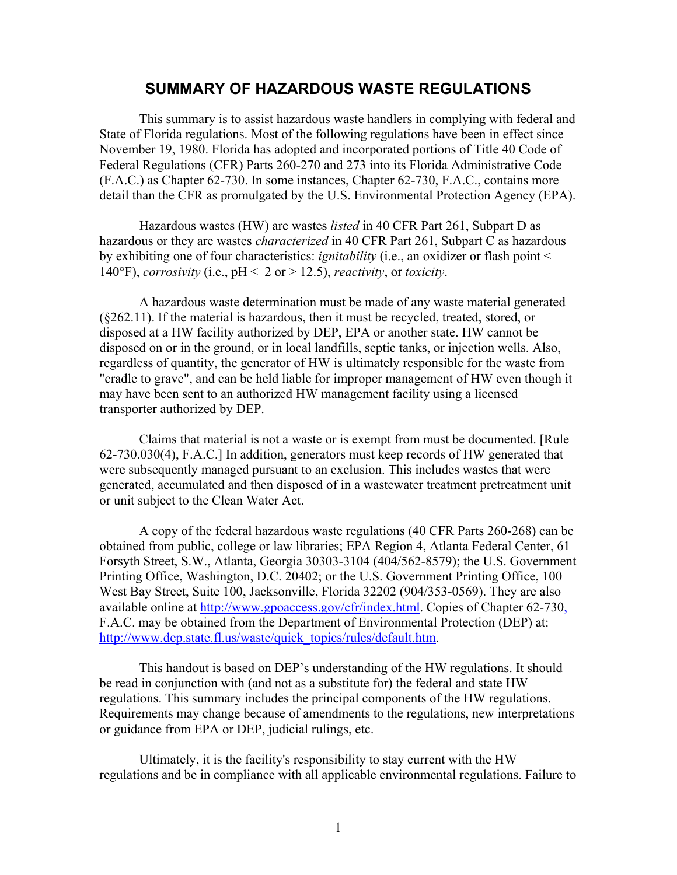#### **SUMMARY OF HAZARDOUS WASTE REGULATIONS**

This summary is to assist hazardous waste handlers in complying with federal and State of Florida regulations. Most of the following regulations have been in effect since November 19, 1980. Florida has adopted and incorporated portions of Title 40 Code of Federal Regulations (CFR) Parts 260-270 and 273 into its Florida Administrative Code (F.A.C.) as Chapter 62-730. In some instances, Chapter 62-730, F.A.C., contains more detail than the CFR as promulgated by the U.S. Environmental Protection Agency (EPA).

Hazardous wastes (HW) are wastes *listed* in 40 CFR Part 261, Subpart D as hazardous or they are wastes *characterized* in 40 CFR Part 261, Subpart C as hazardous by exhibiting one of four characteristics: *ignitability* (i.e., an oxidizer or flash point < 140°F), *corrosivity* (i.e.,  $pH \le 2$  or  $\ge 12.5$ ), *reactivity*, or *toxicity*.

A hazardous waste determination must be made of any waste material generated (§262.11). If the material is hazardous, then it must be recycled, treated, stored, or disposed at a HW facility authorized by DEP, EPA or another state. HW cannot be disposed on or in the ground, or in local landfills, septic tanks, or injection wells. Also, regardless of quantity, the generator of HW is ultimately responsible for the waste from "cradle to grave", and can be held liable for improper management of HW even though it may have been sent to an authorized HW management facility using a licensed transporter authorized by DEP.

Claims that material is not a waste or is exempt from must be documented. [Rule 62-730.030(4), F.A.C.] In addition, generators must keep records of HW generated that were subsequently managed pursuant to an exclusion. This includes wastes that were generated, accumulated and then disposed of in a wastewater treatment pretreatment unit or unit subject to the Clean Water Act.

A copy of the federal hazardous waste regulations (40 CFR Parts 260-268) can be obtained from public, college or law libraries; EPA Region 4, Atlanta Federal Center, 61 Forsyth Street, S.W., Atlanta, Georgia 30303-3104 (404/562-8579); the U.S. Government Printing Office, Washington, D.C. 20402; or the U.S. Government Printing Office, 100 West Bay Street, Suite 100, Jacksonville, Florida 32202 (904/353-0569). They are also available online a[t http://www.gpoaccess.gov/cfr/index.html. C](http://www.gpoaccess.gov/cfr/index.html)opies of Chapter 62-730, F.A.C. may be obtained from the Department of Environmental Protection (DEP) at: http://www.dep.state.fl.us/waste/quick\_topics/rules/default.htm.

This handout is based on DEP's understanding of the HW regulations. It should be read in conjunction with (and not as a substitute for) the federal and state HW regulations. This summary includes the principal components of the HW regulations. Requirements may change because of amendments to the regulations, new interpretations or guidance from EPA or DEP, judicial rulings, etc.

Ultimately, it is the facility's responsibility to stay current with the HW regulations and be in compliance with all applicable environmental regulations. Failure to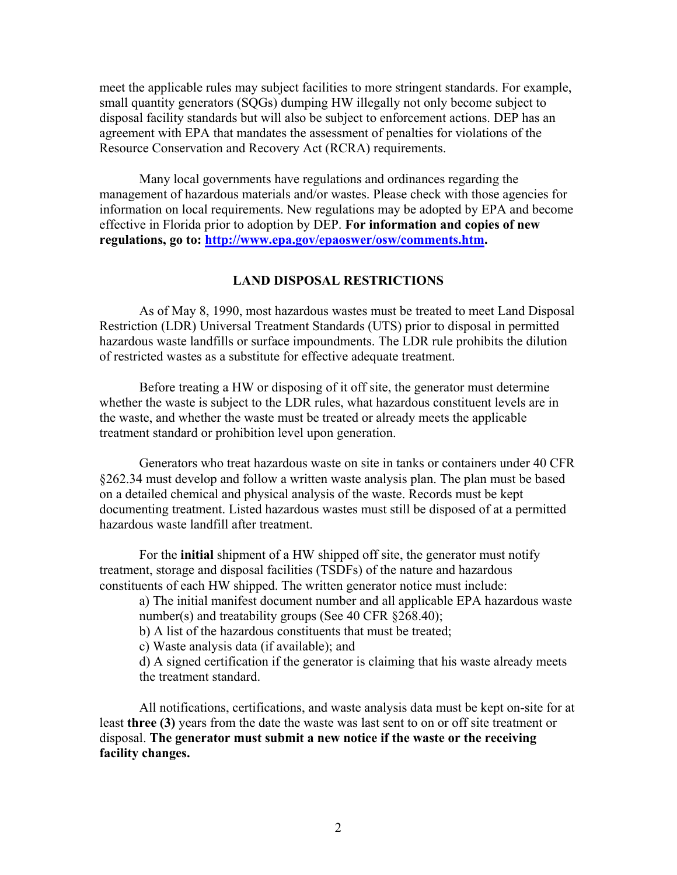meet the applicable rules may subject facilities to more stringent standards. For example, small quantity generators (SQGs) dumping HW illegally not only become subject to disposal facility standards but will also be subject to enforcement actions. DEP has an agreement with EPA that mandates the assessment of penalties for violations of the Resource Conservation and Recovery Act (RCRA) requirements.

Many local governments have regulations and ordinances regarding the management of hazardous materials and/or wastes. Please check with those agencies for information on local requirements. New regulations may be adopted by EPA and become effective in Florida prior to adoption by DEP. **For information and copies of new regulations, go to: [http://www.epa.gov/epaoswer/osw/comments.htm.](http://www.epa.gov/epaoswer/osw/comments.htm)** 

#### **LAND DISPOSAL RESTRICTIONS**

As of May 8, 1990, most hazardous wastes must be treated to meet Land Disposal Restriction (LDR) Universal Treatment Standards (UTS) prior to disposal in permitted hazardous waste landfills or surface impoundments. The LDR rule prohibits the dilution of restricted wastes as a substitute for effective adequate treatment.

Before treating a HW or disposing of it off site, the generator must determine whether the waste is subject to the LDR rules, what hazardous constituent levels are in the waste, and whether the waste must be treated or already meets the applicable treatment standard or prohibition level upon generation.

Generators who treat hazardous waste on site in tanks or containers under 40 CFR §262.34 must develop and follow a written waste analysis plan. The plan must be based on a detailed chemical and physical analysis of the waste. Records must be kept documenting treatment. Listed hazardous wastes must still be disposed of at a permitted hazardous waste landfill after treatment.

For the **initial** shipment of a HW shipped off site, the generator must notify treatment, storage and disposal facilities (TSDFs) of the nature and hazardous constituents of each HW shipped. The written generator notice must include:

a) The initial manifest document number and all applicable EPA hazardous waste number(s) and treatability groups (See 40 CFR §268.40);

b) A list of the hazardous constituents that must be treated;

c) Waste analysis data (if available); and

d) A signed certification if the generator is claiming that his waste already meets the treatment standard.

All notifications, certifications, and waste analysis data must be kept on-site for at least **three (3)** years from the date the waste was last sent to on or off site treatment or disposal. **The generator must submit a new notice if the waste or the receiving facility changes.**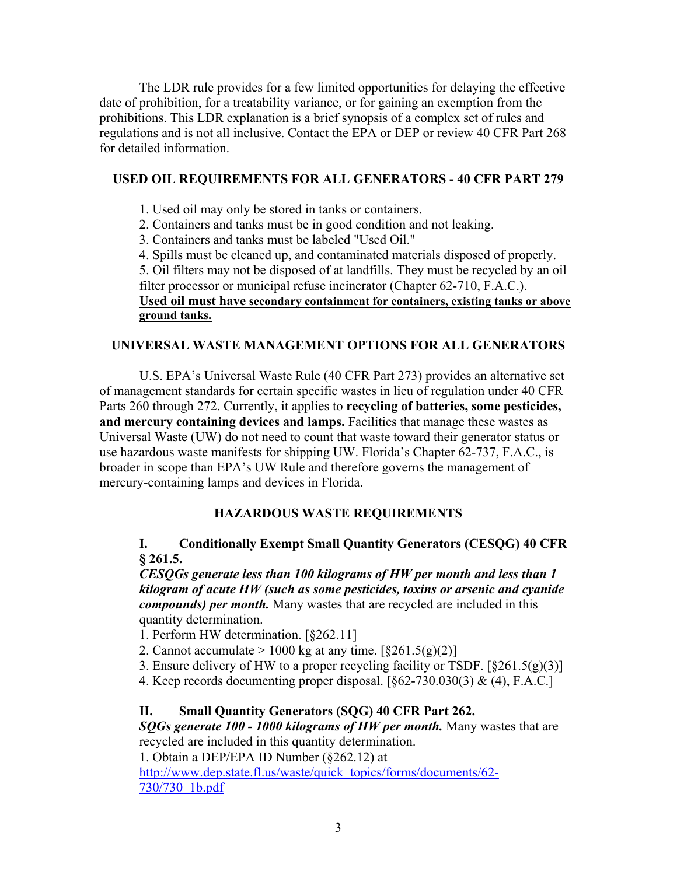The LDR rule provides for a few limited opportunities for delaying the effective date of prohibition, for a treatability variance, or for gaining an exemption from the prohibitions. This LDR explanation is a brief synopsis of a complex set of rules and regulations and is not all inclusive. Contact the EPA or DEP or review 40 CFR Part 268 for detailed information.

## **USED OIL REQUIREMENTS FOR ALL GENERATORS - 40 CFR PART 279**

- 1. Used oil may only be stored in tanks or containers.
- 2. Containers and tanks must be in good condition and not leaking.
- 3. Containers and tanks must be labeled "Used Oil."
- 4. Spills must be cleaned up, and contaminated materials disposed of properly.

5. Oil filters may not be disposed of at landfills. They must be recycled by an oil filter processor or municipal refuse incinerator (Chapter 62-710, F.A.C.). **Used oil must have secondary containment for containers, existing tanks or above** 

#### **ground tanks.**

## **UNIVERSAL WASTE MANAGEMENT OPTIONS FOR ALL GENERATORS**

U.S. EPA's Universal Waste Rule (40 CFR Part 273) provides an alternative set of management standards for certain specific wastes in lieu of regulation under 40 CFR Parts 260 through 272. Currently, it applies to **recycling of batteries, some pesticides, and mercury containing devices and lamps.** Facilities that manage these wastes as Universal Waste (UW) do not need to count that waste toward their generator status or use hazardous waste manifests for shipping UW. Florida's Chapter 62-737, F.A.C., is broader in scope than EPA's UW Rule and therefore governs the management of mercury-containing lamps and devices in Florida.

# **HAZARDOUS WASTE REQUIREMENTS**

## **I. Conditionally Exempt Small Quantity Generators (CESQG) 40 CFR § 261.5.**

*CESQGs generate less than 100 kilograms of HW per month and less than 1 kilogram of acute HW (such as some pesticides, toxins or arsenic and cyanide compounds) per month.* Many wastes that are recycled are included in this quantity determination.

- 1. Perform HW determination. [§262.11]
- 2. Cannot accumulate  $> 1000$  kg at any time.  $\lceil \frac{8261.5(g)(2)}{2} \rceil$
- 3. Ensure delivery of HW to a proper recycling facility or TSDF.  $\lceil \frac{8261.5(g)(3)}{g(3)} \rceil$
- 4. Keep records documenting proper disposal. [§62-730.030(3) & (4), F.A.C.]

# **II. Small Quantity Generators (SQG) 40 CFR Part 262.**

*SQGs generate 100 - 1000 kilograms of HW per month.* Many wastes that are recycled are included in this quantity determination.

1. Obtain a DEP/EPA ID Number (§262.12) at

[http://www.dep.state.fl.us/waste/quick\\_topics/forms/documents/62-](http://www.dep.state.fl.us/waste/quick_topics/forms/documents/62-730/730_1b.pdf) 730/730\_1b.pdf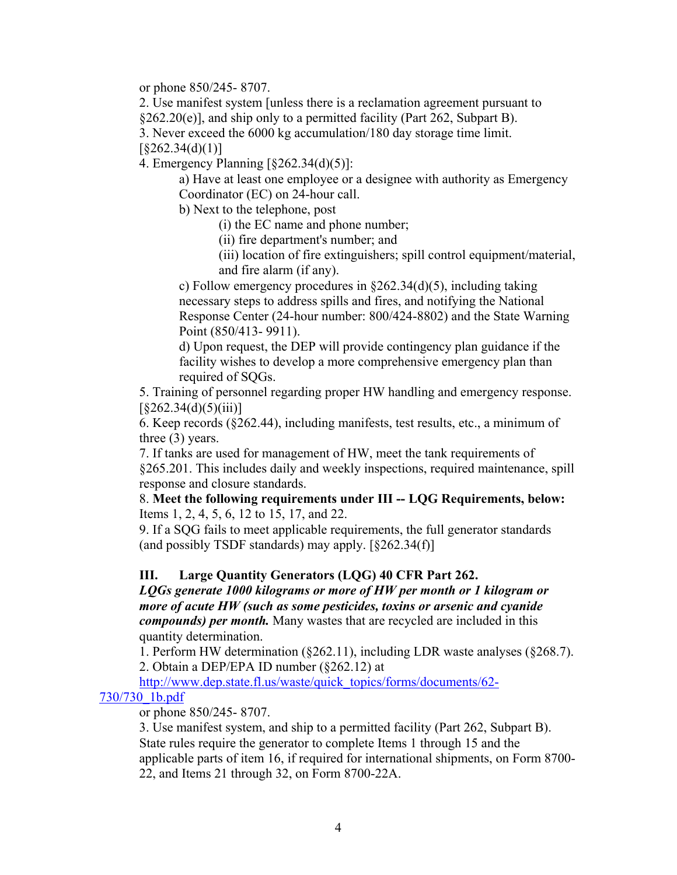or phone 850/245- 8707.

2. Use manifest system [unless there is a reclamation agreement pursuant to  $\S262.20(e)$ ], and ship only to a permitted facility (Part 262, Subpart B).

3. Never exceed the 6000 kg accumulation/180 day storage time limit.

 $\left[ \frac{8262.34(d)(1)}{1} \right]$ 

4. Emergency Planning [§262.34(d)(5)]:

a) Have at least one employee or a designee with authority as Emergency Coordinator (EC) on 24-hour call.

b) Next to the telephone, post

(i) the EC name and phone number;

(ii) fire department's number; and

(iii) location of fire extinguishers; spill control equipment/material, and fire alarm (if any).

c) Follow emergency procedures in §262.34(d)(5), including taking necessary steps to address spills and fires, and notifying the National Response Center (24-hour number: 800/424-8802) and the State Warning Point (850/413- 9911).

d) Upon request, the DEP will provide contingency plan guidance if the facility wishes to develop a more comprehensive emergency plan than required of SQGs.

5. Training of personnel regarding proper HW handling and emergency response.  $\left[ \frac{8262.34(d)(5)(iii)}{2} \right]$ 

6. Keep records (§262.44), including manifests, test results, etc., a minimum of three (3) years.

7. If tanks are used for management of HW, meet the tank requirements of §265.201. This includes daily and weekly inspections, required maintenance, spill response and closure standards.

8. **Meet the following requirements under III -- LQG Requirements, below:**  Items 1, 2, 4, 5, 6, 12 to 15, 17, and 22.

9. If a SQG fails to meet applicable requirements, the full generator standards (and possibly TSDF standards) may apply.  $\lceil \frac{8262.34(f)}{f} \rceil$ 

#### **III. Large Quantity Generators (LQG) 40 CFR Part 262.**

*LQGs generate 1000 kilograms or more of HW per month or 1 kilogram or more of acute HW (such as some pesticides, toxins or arsenic and cyanide compounds) per month.* Many wastes that are recycled are included in this quantity determination.

1. Perform HW determination (§262.11), including LDR waste analyses (§268.7). 2. Obtain a DEP/EPA ID number (§262.12) at

[http://www.dep.state.fl.us/waste/quick\\_topics/forms/documents/62-](http://www.dep.state.fl.us/waste/quick_topics/forms/documents/62-730/730_1b.pdf)

#### 730/730\_1b.pdf

or phone 850/245- 8707.

3. Use manifest system, and ship to a permitted facility (Part 262, Subpart B). State rules require the generator to complete Items 1 through 15 and the applicable parts of item 16, if required for international shipments, on Form 8700- 22, and Items 21 through 32, on Form 8700-22A.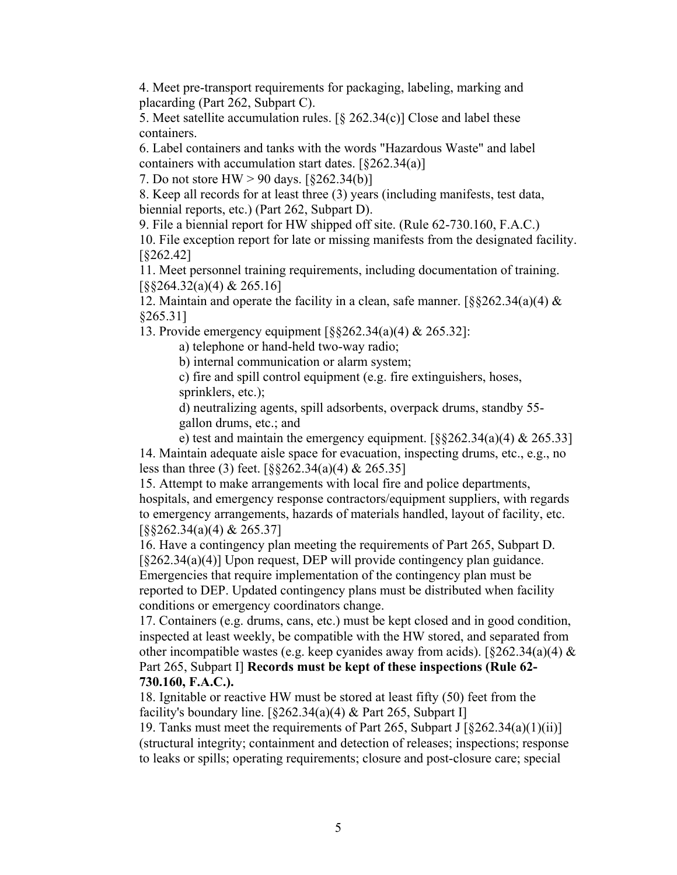4. Meet pre-transport requirements for packaging, labeling, marking and placarding (Part 262, Subpart C).

5. Meet satellite accumulation rules.  $[\S$  262.34(c)] Close and label these containers.

6. Label containers and tanks with the words "Hazardous Waste" and label containers with accumulation start dates.  $[§262.34(a)]$ 

7. Do not store HW > 90 days. [§262.34(b)]

8. Keep all records for at least three (3) years (including manifests, test data, biennial reports, etc.) (Part 262, Subpart D).

9. File a biennial report for HW shipped off site. (Rule 62-730.160, F.A.C.) 10. File exception report for late or missing manifests from the designated facility. [§262.42]

11. Meet personnel training requirements, including documentation of training. [§§264.32(a)(4) & 265.16]

12. Maintain and operate the facility in a clean, safe manner.  $\sqrt{8}262.34(a)(4) \&$ §265.31]

13. Provide emergency equipment [§§262.34(a)(4) & 265.32]:

a) telephone or hand-held two-way radio;

b) internal communication or alarm system;

c) fire and spill control equipment (e.g. fire extinguishers, hoses, sprinklers, etc.);

d) neutralizing agents, spill adsorbents, overpack drums, standby 55 gallon drums, etc.; and

e) test and maintain the emergency equipment.  $\lceil \frac{88262.34(a)(4) \& 265.33 \rceil}{2}$ 14. Maintain adequate aisle space for evacuation, inspecting drums, etc., e.g., no less than three (3) feet. [§§262.34(a)(4) & 265.35]

15. Attempt to make arrangements with local fire and police departments, hospitals, and emergency response contractors/equipment suppliers, with regards to emergency arrangements, hazards of materials handled, layout of facility, etc. [§§262.34(a)(4) & 265.37]

16. Have a contingency plan meeting the requirements of Part 265, Subpart D. [§262.34(a)(4)] Upon request, DEP will provide contingency plan guidance. Emergencies that require implementation of the contingency plan must be reported to DEP. Updated contingency plans must be distributed when facility conditions or emergency coordinators change.

17. Containers (e.g. drums, cans, etc.) must be kept closed and in good condition, inspected at least weekly, be compatible with the HW stored, and separated from other incompatible wastes (e.g. keep cyanides away from acids). [ $\&262.34(a)(4) \&$ Part 265, Subpart I] **Records must be kept of these inspections (Rule 62- 730.160, F.A.C.).** 

18. Ignitable or reactive HW must be stored at least fifty (50) feet from the facility's boundary line.  $\lceil \frac{6262.34(a)(4) \&$  Part 265, Subpart I]

19. Tanks must meet the requirements of Part 265, Subpart J  $\lceil \frac{8262.34(a)(1)(ii)}{2} \rceil$ (structural integrity; containment and detection of releases; inspections; response to leaks or spills; operating requirements; closure and post-closure care; special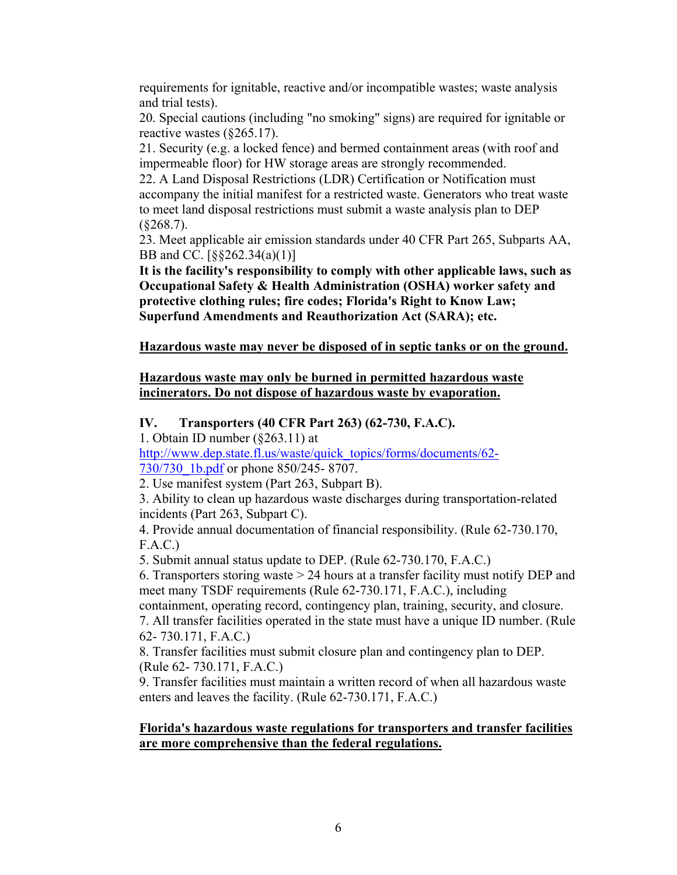requirements for ignitable, reactive and/or incompatible wastes; waste analysis and trial tests).

20. Special cautions (including "no smoking" signs) are required for ignitable or reactive wastes (§265.17).

21. Security (e.g. a locked fence) and bermed containment areas (with roof and impermeable floor) for HW storage areas are strongly recommended.

22. A Land Disposal Restrictions (LDR) Certification or Notification must accompany the initial manifest for a restricted waste. Generators who treat waste to meet land disposal restrictions must submit a waste analysis plan to DEP  $(\$268.7).$ 

23. Meet applicable air emission standards under 40 CFR Part 265, Subparts AA, BB and CC. [§§262.34(a)(1)]

**It is the facility's responsibility to comply with other applicable laws, such as Occupational Safety & Health Administration (OSHA) worker safety and protective clothing rules; fire codes; Florida's Right to Know Law; Superfund Amendments and Reauthorization Act (SARA); etc.** 

**Hazardous waste may never be disposed of in septic tanks or on the ground.**

## **Hazardous waste may only be burned in permitted hazardous waste incinerators. Do not dispose of hazardous waste by evaporation.**

## **IV. Transporters (40 CFR Part 263) (62-730, F.A.C).**

1. Obtain ID number (§263.11) at

[http://www.dep.state.fl.us/waste/quick\\_topics/forms/documents/62-](http://www.dep.state.fl.us/waste/quick_topics/forms/documents/62-730/730_1b.pdf) 730/730 1b.pdf or phone 850/245- 8707.

2. Use manifest system (Part 263, Subpart B).

3. Ability to clean up hazardous waste discharges during transportation-related incidents (Part 263, Subpart C).

4. Provide annual documentation of financial responsibility. (Rule 62-730.170, F.A.C.)

5. Submit annual status update to DEP. (Rule 62-730.170, F.A.C.)

6. Transporters storing waste > 24 hours at a transfer facility must notify DEP and meet many TSDF requirements (Rule 62-730.171, F.A.C.), including

containment, operating record, contingency plan, training, security, and closure. 7. All transfer facilities operated in the state must have a unique ID number. (Rule 62- 730.171, F.A.C.)

8. Transfer facilities must submit closure plan and contingency plan to DEP. (Rule 62- 730.171, F.A.C.)

9. Transfer facilities must maintain a written record of when all hazardous waste enters and leaves the facility. (Rule 62-730.171, F.A.C.)

## **Florida's hazardous waste regulations for transporters and transfer facilities are more comprehensive than the federal regulations.**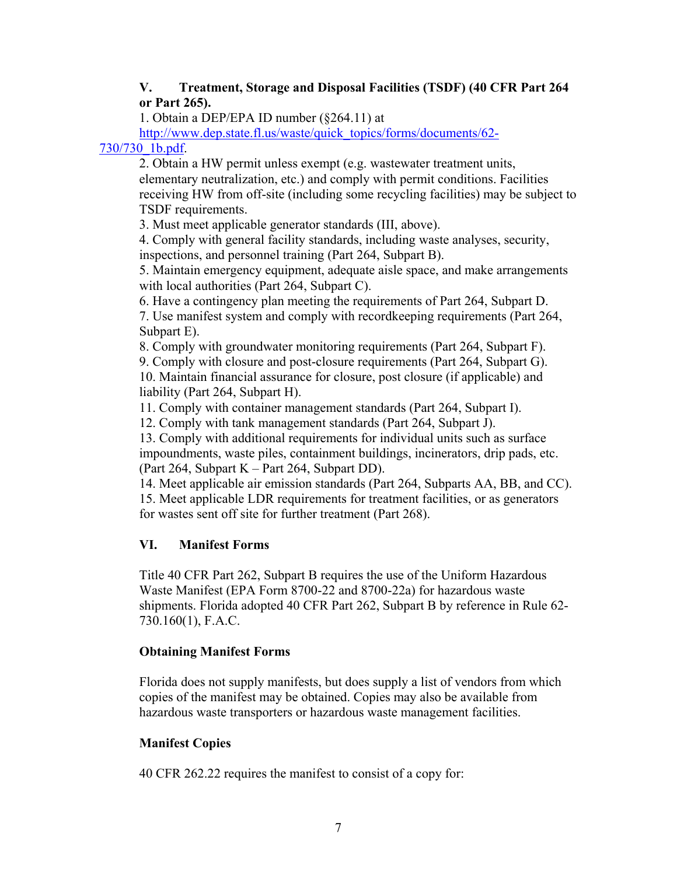## **V. Treatment, Storage and Disposal Facilities (TSDF) (40 CFR Part 264 or Part 265).**

1. Obtain a DEP/EPA ID number (§264.11) at

[http://www.dep.state.fl.us/waste/quick\\_topics/forms/documents/62-](http://www.dep.state.fl.us/waste/quick_topics/forms/documents/62-730/730_1b.pdf)

730/730\_1b.pdf.

2. Obtain a HW permit unless exempt (e.g. wastewater treatment units, elementary neutralization, etc.) and comply with permit conditions. Facilities receiving HW from off-site (including some recycling facilities) may be subject to TSDF requirements.

3. Must meet applicable generator standards (III, above).

4. Comply with general facility standards, including waste analyses, security, inspections, and personnel training (Part 264, Subpart B).

5. Maintain emergency equipment, adequate aisle space, and make arrangements with local authorities (Part 264, Subpart C).

6. Have a contingency plan meeting the requirements of Part 264, Subpart D.

7. Use manifest system and comply with recordkeeping requirements (Part 264, Subpart E).

8. Comply with groundwater monitoring requirements (Part 264, Subpart F).

9. Comply with closure and post-closure requirements (Part 264, Subpart G). 10. Maintain financial assurance for closure, post closure (if applicable) and liability (Part 264, Subpart H).

11. Comply with container management standards (Part 264, Subpart I).

12. Comply with tank management standards (Part 264, Subpart J).

13. Comply with additional requirements for individual units such as surface impoundments, waste piles, containment buildings, incinerators, drip pads, etc. (Part 264, Subpart K – Part 264, Subpart DD).

14. Meet applicable air emission standards (Part 264, Subparts AA, BB, and CC). 15. Meet applicable LDR requirements for treatment facilities, or as generators for wastes sent off site for further treatment (Part 268).

# **VI. Manifest Forms**

Title 40 CFR Part 262, Subpart B requires the use of the Uniform Hazardous Waste Manifest (EPA Form 8700-22 and 8700-22a) for hazardous waste shipments. Florida adopted 40 CFR Part 262, Subpart B by reference in Rule 62- 730.160(1), F.A.C.

# **Obtaining Manifest Forms**

Florida does not supply manifests, but does supply a list of vendors from which copies of the manifest may be obtained. Copies may also be available from hazardous waste transporters or hazardous waste management facilities.

# **Manifest Copies**

40 CFR 262.22 requires the manifest to consist of a copy for: